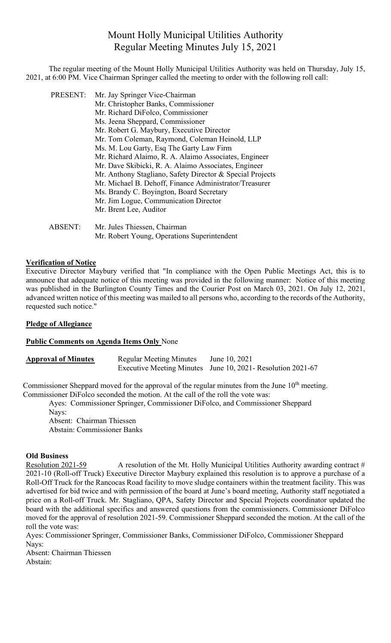# Mount Holly Municipal Utilities Authority Regular Meeting Minutes July 15, 2021

The regular meeting of the Mount Holly Municipal Utilities Authority was held on Thursday, July 15, 2021, at 6:00 PM. Vice Chairman Springer called the meeting to order with the following roll call:

PRESENT: Mr. Jay Springer Vice-Chairman

- Mr. Christopher Banks, Commissioner
- Mr. Richard DiFolco, Commissioner
- Ms. Jeena Sheppard, Commissioner
- Mr. Robert G. Maybury, Executive Director
- Mr. Tom Coleman, Raymond, Coleman Heinold, LLP
- Ms. M. Lou Garty, Esq The Garty Law Firm
- Mr. Richard Alaimo, R. A. Alaimo Associates, Engineer
- Mr. Dave Skibicki, R. A. Alaimo Associates, Engineer
- Mr. Anthony Stagliano, Safety Director & Special Projects
- Mr. Michael B. Dehoff, Finance Administrator/Treasurer
- Ms. Brandy C. Boyington, Board Secretary
- Mr. Jim Logue, Communication Director
- Mr. Brent Lee, Auditor

ABSENT: Mr. Jules Thiessen, Chairman Mr. Robert Young, Operations Superintendent

#### **Verification of Notice**

Executive Director Maybury verified that "In compliance with the Open Public Meetings Act, this is to announce that adequate notice of this meeting was provided in the following manner: Notice of this meeting was published in the Burlington County Times and the Courier Post on March 03, 2021. On July 12, 2021, advanced written notice of this meeting was mailed to all persons who, according to the records of the Authority, requested such notice."

## **Pledge of Allegiance**

#### **Public Comments on Agenda Items Only** None

**Approval of Minutes** Regular Meeting Minutes June 10, 2021 Executive Meeting Minutes June 10, 2021- Resolution 2021-67

Commissioner Sheppard moved for the approval of the regular minutes from the June  $10<sup>th</sup>$  meeting. Commissioner DiFolco seconded the motion. At the call of the roll the vote was:

Ayes: Commissioner Springer, Commissioner DiFolco, and Commissioner Sheppard Nays: Absent: Chairman Thiessen

Abstain: Commissioner Banks

#### **Old Business**

Resolution 2021-59 A resolution of the Mt. Holly Municipal Utilities Authority awarding contract  $#$ 2021-10 (Roll-off Truck) Executive Director Maybury explained this resolution is to approve a purchase of a Roll-Off Truck for the Rancocas Road facility to move sludge containers within the treatment facility. This was advertised for bid twice and with permission of the board at June's board meeting, Authority staff negotiated a price on a Roll-off Truck. Mr. Stagliano, QPA, Safety Director and Special Projects coordinator updated the board with the additional specifics and answered questions from the commissioners. Commissioner DiFolco moved for the approval of resolution 2021-59. Commissioner Sheppard seconded the motion. At the call of the roll the vote was:

Ayes: Commissioner Springer, Commissioner Banks, Commissioner DiFolco, Commissioner Sheppard Nays:

Absent: Chairman Thiessen Abstain: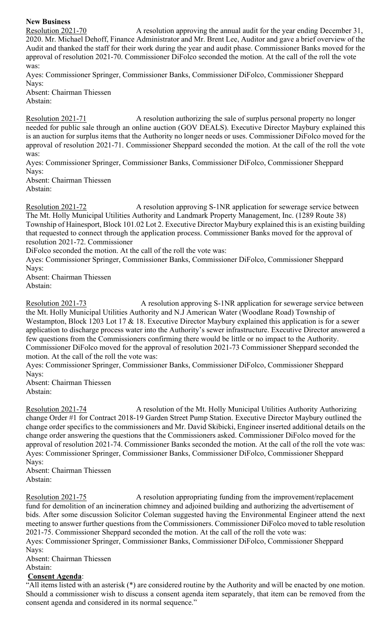**New Business**

Resolution 2021-70 A resolution approving the annual audit for the year ending December 31, 2020. Mr. Michael Dehoff, Finance Administrator and Mr. Brent Lee, Auditor and gave a brief overview of the Audit and thanked the staff for their work during the year and audit phase. Commissioner Banks moved for the approval of resolution 2021-70. Commissioner DiFolco seconded the motion. At the call of the roll the vote was:

Ayes: Commissioner Springer, Commissioner Banks, Commissioner DiFolco, Commissioner Sheppard Nays:

Absent: Chairman Thiessen Abstain:

Resolution 2021-71 A resolution authorizing the sale of surplus personal property no longer needed for public sale through an online auction (GOV DEALS). Executive Director Maybury explained this is an auction for surplus items that the Authority no longer needs or uses. Commissioner DiFolco moved for the approval of resolution 2021-71. Commissioner Sheppard seconded the motion. At the call of the roll the vote was:

Ayes: Commissioner Springer, Commissioner Banks, Commissioner DiFolco, Commissioner Sheppard Nays:

Absent: Chairman Thiessen Abstain:

Resolution 2021-72 A resolution approving S-1NR application for sewerage service between The Mt. Holly Municipal Utilities Authority and Landmark Property Management, Inc. (1289 Route 38) Township of Hainesport, Block 101.02 Lot 2. Executive Director Maybury explained this is an existing building that requested to connect through the application process. Commissioner Banks moved for the approval of resolution 2021-72. Commissioner

DiFolco seconded the motion. At the call of the roll the vote was:

Ayes: Commissioner Springer, Commissioner Banks, Commissioner DiFolco, Commissioner Sheppard Navs:

Absent: Chairman Thiessen Abstain:

Resolution 2021-73 A resolution approving S-1NR application for sewerage service between the Mt. Holly Municipal Utilities Authority and N.J American Water (Woodlane Road) Township of Westampton, Block 1203 Lot 17 & 18. Executive Director Maybury explained this application is for a sewer application to discharge process water into the Authority's sewer infrastructure. Executive Director answered a few questions from the Commissioners confirming there would be little or no impact to the Authority. Commissioner DiFolco moved for the approval of resolution 2021-73 Commissioner Sheppard seconded the motion. At the call of the roll the vote was:

Ayes: Commissioner Springer, Commissioner Banks, Commissioner DiFolco, Commissioner Sheppard Nays:

Absent: Chairman Thiessen Abstain:

Resolution 2021-74 A resolution of the Mt. Holly Municipal Utilities Authority Authorizing change Order #1 for Contract 2018-19 Garden Street Pump Station. Executive Director Maybury outlined the change order specifics to the commissioners and Mr. David Skibicki, Engineer inserted additional details on the change order answering the questions that the Commissioners asked. Commissioner DiFolco moved for the approval of resolution 2021-74. Commissioner Banks seconded the motion. At the call of the roll the vote was: Ayes: Commissioner Springer, Commissioner Banks, Commissioner DiFolco, Commissioner Sheppard Nays:

Absent: Chairman Thiessen Abstain:

Resolution 2021-75 A resolution appropriating funding from the improvement/replacement fund for demolition of an incineration chimney and adjoined building and authorizing the advertisement of bids. After some discussion Solicitor Coleman suggested having the Environmental Engineer attend the next meeting to answer further questions from the Commissioners. Commissioner DiFolco moved to table resolution 2021-75. Commissioner Sheppard seconded the motion. At the call of the roll the vote was: Ayes: Commissioner Springer, Commissioner Banks, Commissioner DiFolco, Commissioner Sheppard

Nays:

Absent: Chairman Thiessen

### Abstain:

### **Consent Agenda**:

"All items listed with an asterisk (\*) are considered routine by the Authority and will be enacted by one motion. Should a commissioner wish to discuss a consent agenda item separately, that item can be removed from the consent agenda and considered in its normal sequence."